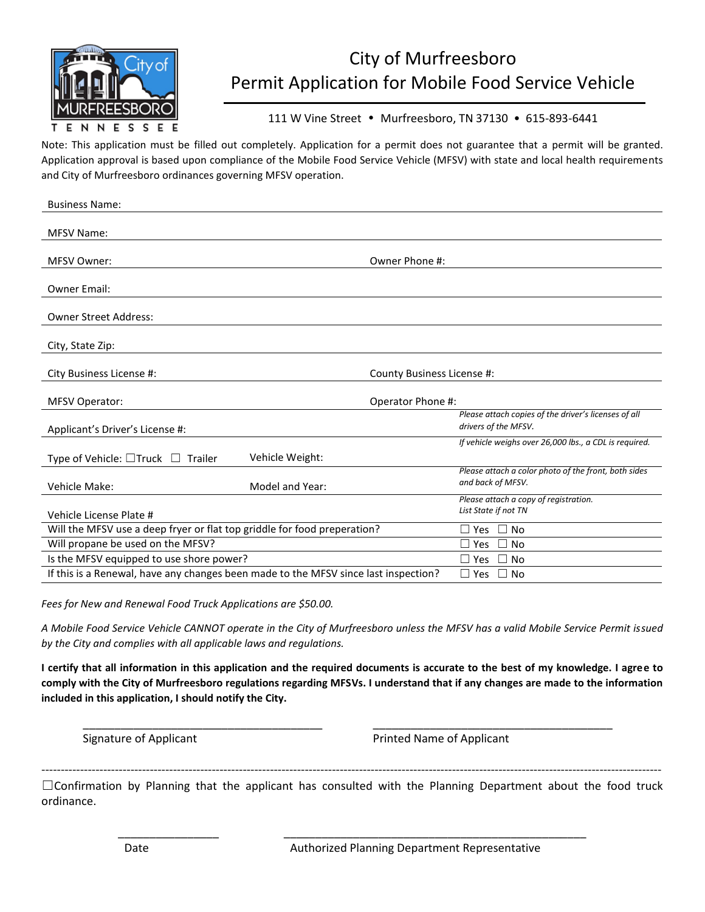

## City of Murfreesboro Permit Application for Mobile Food Service Vehicle

### 111 W Vine Street • Murfreesboro, TN 37130 • 615-893-6441

Note: This application must be filled out completely. Application for a permit does not guarantee that a permit will be granted. Application approval is based upon compliance of the Mobile Food Service Vehicle (MFSV) with state and local health requirements and City of Murfreesboro ordinances governing MFSV operation.

| <b>Business Name:</b>                                                               |                            |                                                                              |
|-------------------------------------------------------------------------------------|----------------------------|------------------------------------------------------------------------------|
| <b>MFSV Name:</b>                                                                   |                            |                                                                              |
|                                                                                     |                            |                                                                              |
| <b>MFSV Owner:</b>                                                                  | Owner Phone #:             |                                                                              |
|                                                                                     |                            |                                                                              |
| <b>Owner Email:</b>                                                                 |                            |                                                                              |
| <b>Owner Street Address:</b>                                                        |                            |                                                                              |
|                                                                                     |                            |                                                                              |
| City, State Zip:                                                                    |                            |                                                                              |
|                                                                                     |                            |                                                                              |
| City Business License #:                                                            | County Business License #: |                                                                              |
|                                                                                     |                            |                                                                              |
| <b>MFSV Operator:</b>                                                               | Operator Phone #:          |                                                                              |
|                                                                                     |                            | Please attach copies of the driver's licenses of all<br>drivers of the MFSV. |
| Applicant's Driver's License #:                                                     |                            |                                                                              |
|                                                                                     |                            | If vehicle weighs over 26,000 lbs., a CDL is required.                       |
| Type of Vehicle: □Truck □ Trailer                                                   | Vehicle Weight:            |                                                                              |
| Vehicle Make:                                                                       | Model and Year:            | Please attach a color photo of the front, both sides<br>and back of MFSV.    |
|                                                                                     |                            | Please attach a copy of registration.                                        |
| Vehicle License Plate #                                                             |                            | List State if not TN                                                         |
| Will the MFSV use a deep fryer or flat top griddle for food preperation?            |                            | $\Box$ Yes $\Box$ No                                                         |
| Will propane be used on the MFSV?                                                   |                            | $\Box$<br>No<br>П<br>Yes                                                     |
| Is the MFSV equipped to use shore power?                                            |                            | $\square$ Yes<br>$\Box$ No                                                   |
| If this is a Renewal, have any changes been made to the MFSV since last inspection? |                            | $\Box$ Yes $\Box$ No                                                         |

*Fees for New and Renewal Food Truck Applications are \$50.00.*

*A Mobile Food Service Vehicle CANNOT operate in the City of Murfreesboro unless the MFSV has a valid Mobile Service Permit issued by the City and complies with all applicable laws and regulations.*

**I certify that all information in this application and the required documents is accurate to the best of my knowledge. I agree to comply with the City of Murfreesboro regulations regarding MFSVs. I understand that if any changes are made to the information included in this application, I should notify the City.**

\_\_\_\_\_\_\_\_\_\_\_\_\_\_\_\_\_\_\_\_\_\_\_\_\_\_\_\_\_\_\_\_\_\_\_\_\_\_ \_\_\_\_\_\_\_\_\_\_\_\_\_\_\_\_\_\_\_\_\_\_\_\_\_\_\_\_\_\_\_\_\_\_\_\_\_\_

Signature of Applicant **Printed Name of Applicant** Printed Name of Applicant

---------------------------------------------------------------------------------------------------------------------------------------------------------------- ☐Confirmation by Planning that the applicant has consulted with the Planning Department about the food truck ordinance.

\_\_\_\_\_\_\_\_\_\_\_\_\_\_\_\_ \_\_\_\_\_\_\_\_\_\_\_\_\_\_\_\_\_\_\_\_\_\_\_\_\_\_\_\_\_\_\_\_\_\_\_\_\_\_\_\_\_\_\_\_\_\_\_\_